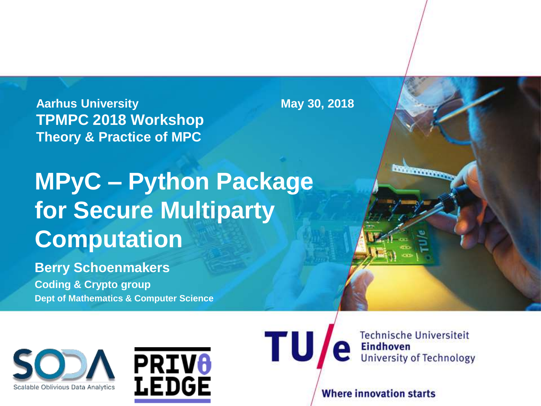**Aarhus University May 30, 2018 TPMPC 2018 Workshop Theory & Practice of MPC**

## **MPyC – Python Package for Secure Multiparty Computation**

**Berry Schoenmakers Coding & Crypto group Dept of Mathematics & Computer Science**





TU

**Technische Universiteit Eindhoven University of Technology** 

**COMMUNICATION** 

**Where innovation starts**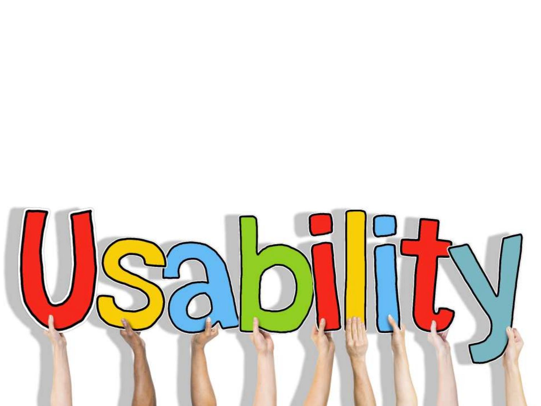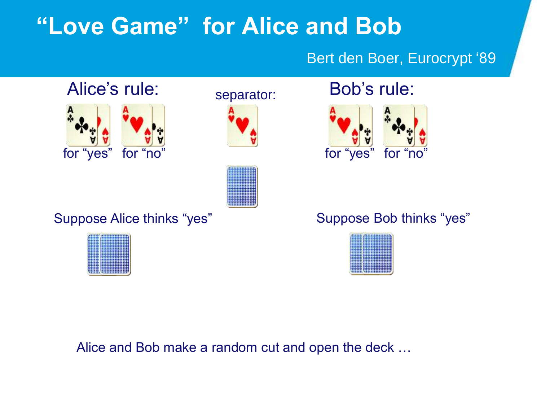#### **"Love Game" for Alice and Bob**

#### Bert den Boer, Eurocrypt '89





separator: **Bob's rule:** 



Suppose Alice thinks "yes" Suppose Bob thinks "yes"





Alice and Bob make a random cut and open the deck …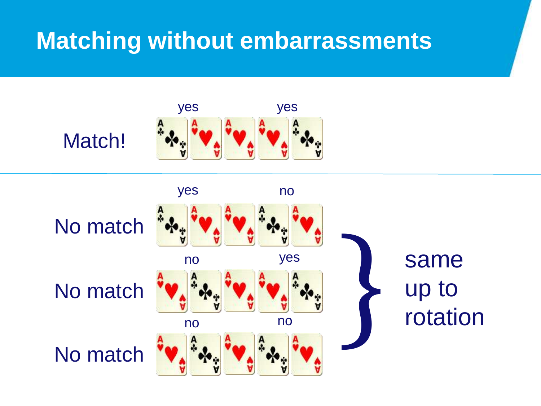#### **Matching without embarrassments**



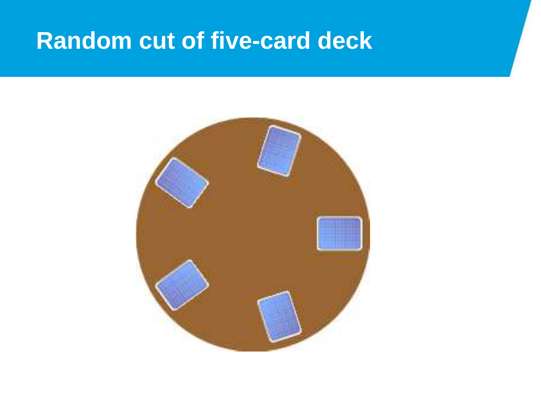#### **Random cut of five-card deck**

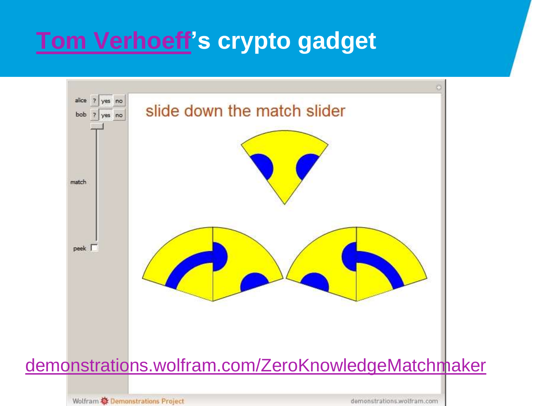### **[Tom Verhoeff'](https://www.win.tue.nl/~wstomv/)s crypto gadget**



Wolfram **な** Demonstrations Project

demonstrations.wolfram.com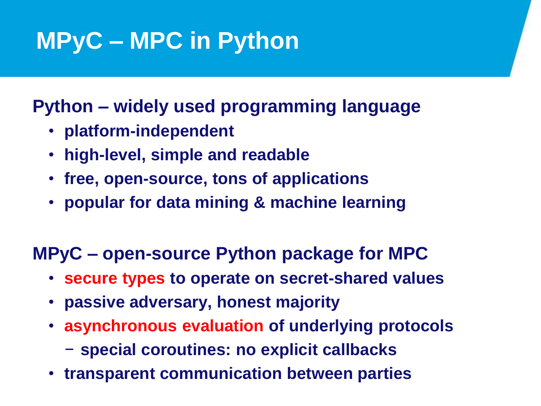# **MPyC – MPC in Python**

**Python – widely used programming language**

- **platform-independent**
- **high-level, simple and readable**
- **free, open-source, tons of applications**
- **popular for data mining & machine learning**

#### **MPyC – open-source Python package for MPC**

- **secure types to operate on secret-shared values**
- **passive adversary, honest majority**
- **asynchronous evaluation of underlying protocols**
	- − **special coroutines: no explicit callbacks**
- **transparent communication between parties**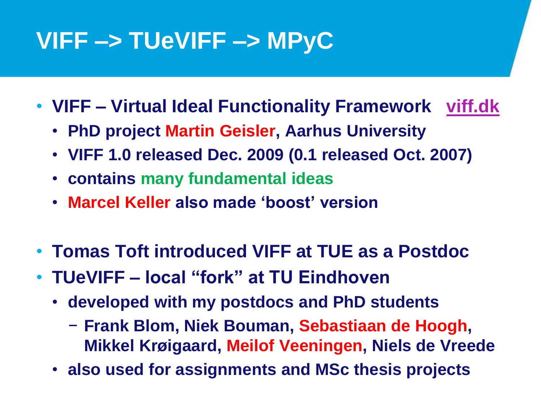## **VIFF –> TUeVIFF –> MPyC**

- **VIFF – Virtual Ideal Functionality Framework [viff.dk](http://viff.dk/)**
	- **PhD project Martin Geisler, Aarhus University**
	- **VIFF 1.0 released Dec. 2009 (0.1 released Oct. 2007)**
	- **contains many fundamental ideas**
	- **Marcel Keller also made 'boost' version**
- **Tomas Toft introduced VIFF at TUE as a Postdoc**
- **TUeVIFF – local "fork" at TU Eindhoven**
	- **developed with my postdocs and PhD students** 
		- − **Frank Blom, Niek Bouman, Sebastiaan de Hoogh, Mikkel Krøigaard, Meilof Veeningen, Niels de Vreede**
	- **also used for assignments and MSc thesis projects**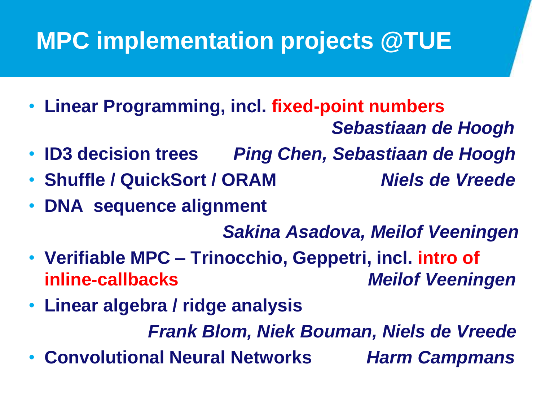## **MPC implementation projects @TUE**

- **Linear Programming, incl. fixed-point numbers**
	- *Sebastiaan de Hoogh*
- **ID3 decision trees** *Ping Chen, Sebastiaan de Hoogh*
- **Shuffle / QuickSort / ORAM** *Niels de Vreede*
- **DNA sequence alignment**

*Sakina Asadova, Meilof Veeningen*

- **Verifiable MPC – Trinocchio, Geppetri, incl. intro of inline-callbacks** *Meilof Veeningen*
- **Linear algebra / ridge analysis**

*Frank Blom, Niek Bouman, Niels de Vreede*

• **Convolutional Neural Networks** *Harm Campmans*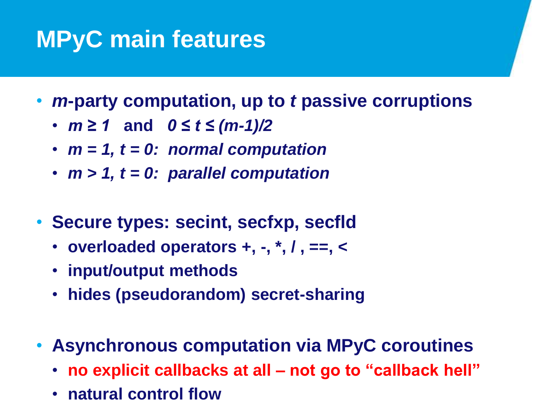## **MPyC main features**

- *m***-party computation, up to** *t* **passive corruptions**
	- *m ≥ 1* **and** *0 ≤ t ≤ (m-1)/2*
	- *m = 1, t = 0: normal computation*
	- *m > 1, t = 0: parallel computation*
- **Secure types: secint, secfxp, secfld**
	- **overloaded operators +, -, \*, / , ==, <**
	- **input/output methods**
	- **hides (pseudorandom) secret-sharing**
- **Asynchronous computation via MPyC coroutines**
	- **no explicit callbacks at all – not go to "callback hell"**
	- **natural control flow**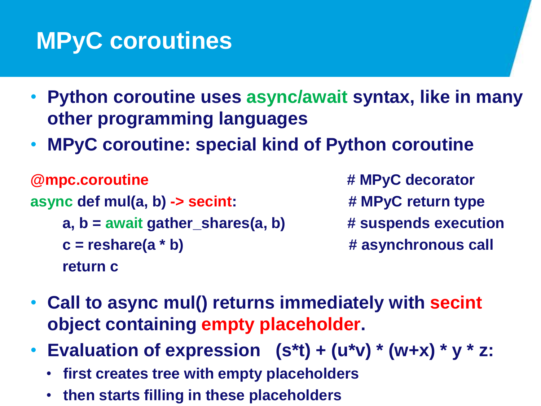## **MPyC coroutines**

- **Python coroutine uses async/await syntax, like in many other programming languages**
- **MPyC coroutine: special kind of Python coroutine**

```
@mpc.coroutine # MPyC decorator
async def mul(a, b) -> secint: # MPyC return type
   a, b = await gather_shares(a, b) # suspends execution 
   c = reshare(a * b) \qquad # asynchronous call
   return c
```
- 
- **Call to async mul() returns immediately with secint object containing empty placeholder.**
- **Evaluation of expression (s\*t) + (u\*v) \* (w+x) \* y \* z:**
	- **first creates tree with empty placeholders**
	- **then starts filling in these placeholders**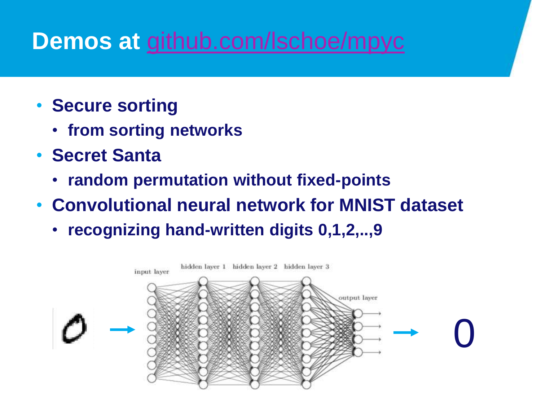#### **Demos at** [github.com/lschoe/mpyc](https://github.com/lschoe/mpyc)

- **Secure sorting**
	- **from sorting networks**
- **Secret Santa**
	- **random permutation without fixed-points**
- **Convolutional neural network for MNIST dataset**
	- **recognizing hand-written digits 0,1,2,..,9**

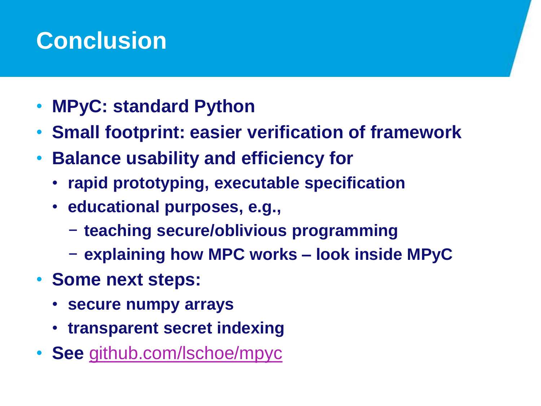### **Conclusion**

- **MPyC: standard Python**
- **Small footprint: easier verification of framework**
- **Balance usability and efficiency for**
	- **rapid prototyping, executable specification**
	- **educational purposes, e.g.,**
		- − **teaching secure/oblivious programming**
		- − **explaining how MPC works – look inside MPyC**
- **Some next steps:**
	- **secure numpy arrays**
	- **transparent secret indexing**
- **See** [github.com/lschoe/mpyc](https://github.com/lschoe/mpyc)